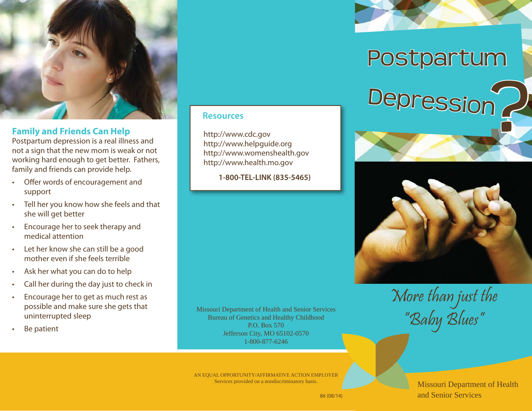

#### **Family and Friends Can Help**

Postpartum depression is a real illness and not a sign that the new mom is weak or not working hard enough to get better. Fathers, family and friends can provide help.

- Offer words of encouragement and support
- Tell her you know how she feels and that she will get better
- Encourage her to seek therapy and medical attention
- Let her know she can still be a good mother even if she feels terrible
- Ask her what you can do to help
- Call her during the day just to check in
- Encourage her to get as much rest as possible and make sure she gets that uninterrupted sleep
- Be patient

#### **Resources**

http://www.cdc.gov http://www.helpguide.org http://www.womenshealth.gov http://www.health.mo.gov

**1-800-TEL-LINK (835-5465)**

Missouri Department of Health and Senior Services Bureau of Genetics and Healthy Childhood P.O. Box 570 Jefferson City, MO 65102-0570 1-800-877-6246

AN EQUAL OPPORTUNITY/AFFIRMATIVE ACTION EMPLOYER Services provided on a nondiscriminatory basis.





More than just the "Baby Blues"

> Missouri Department of Health and Senior Services